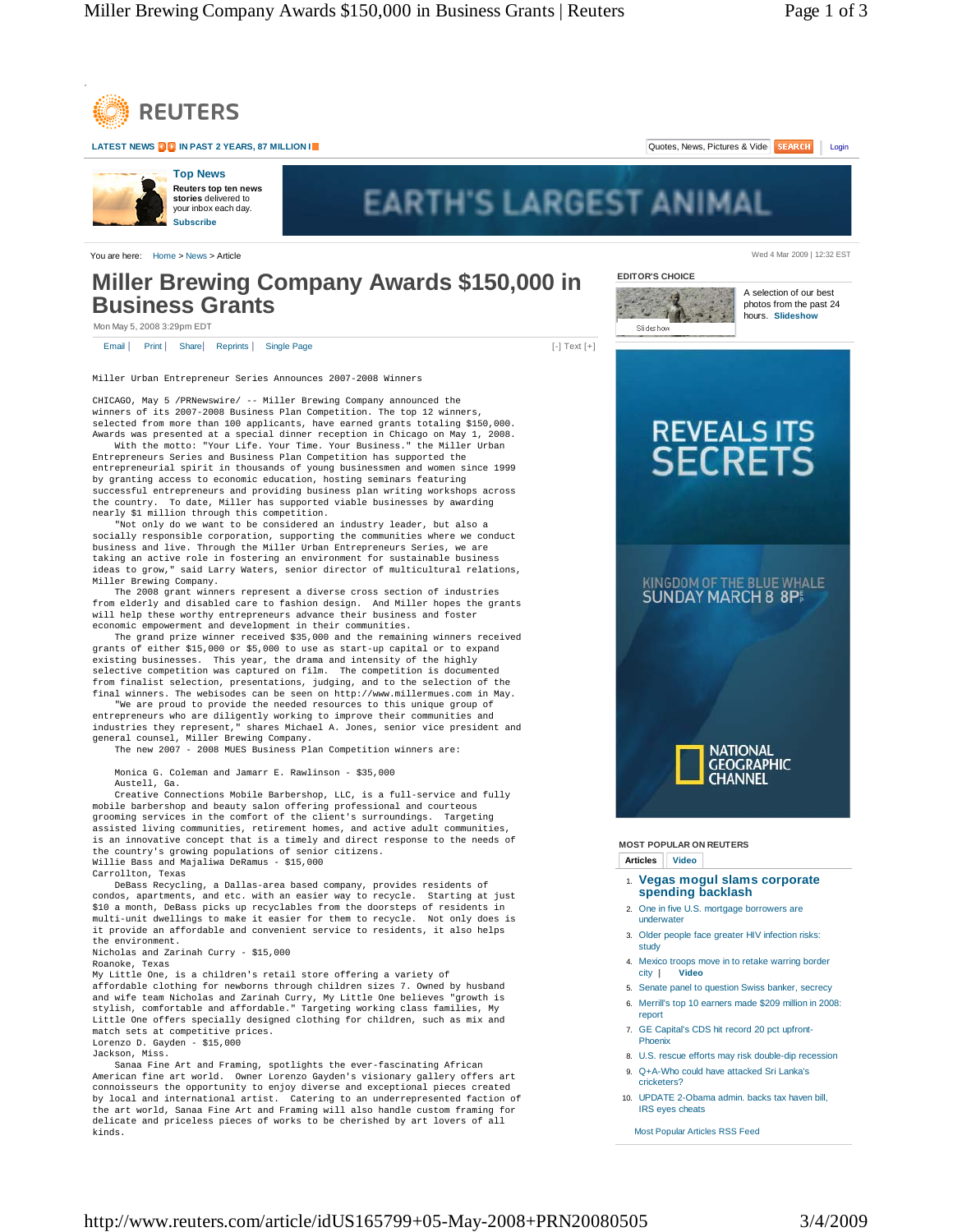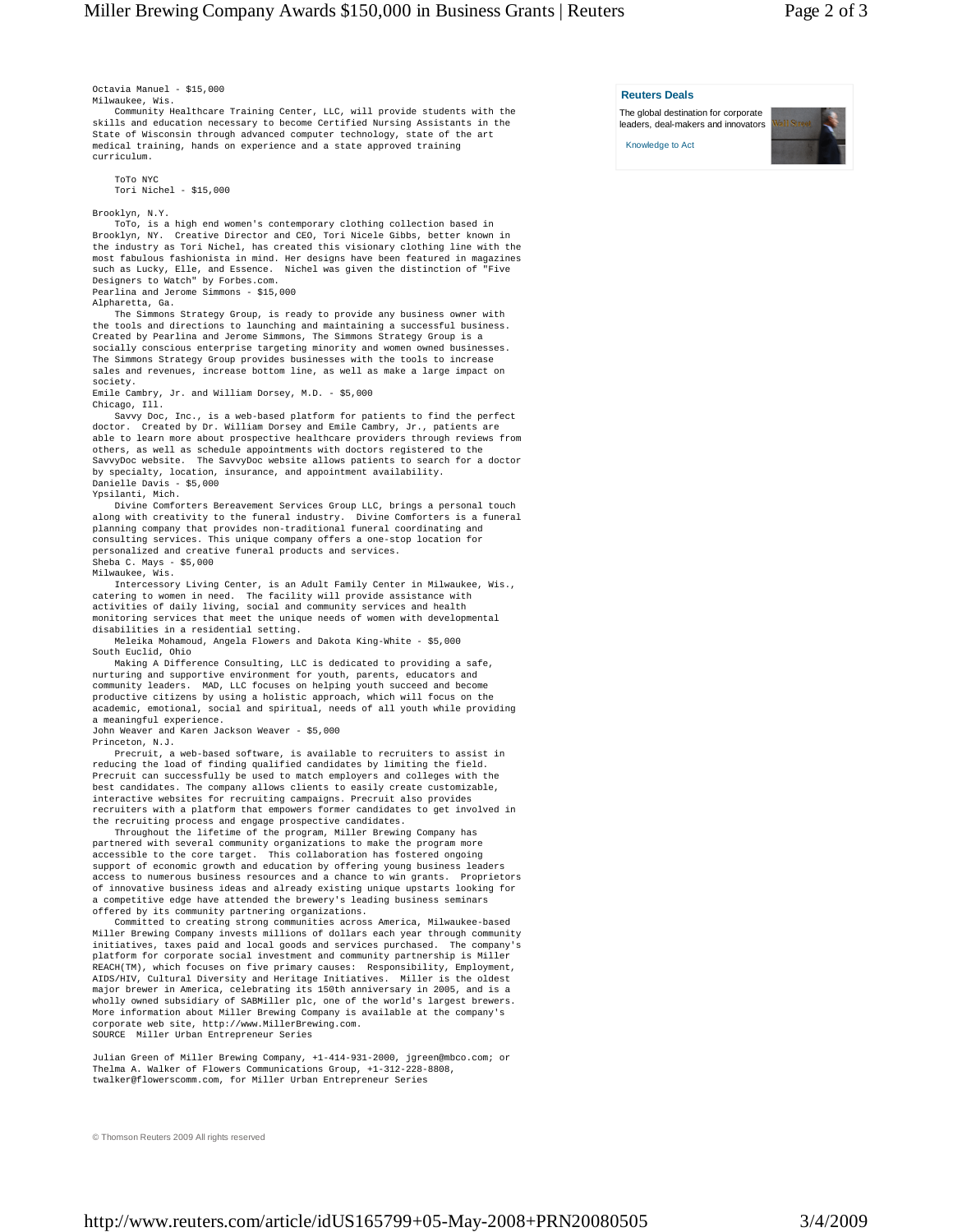Octavia Manuel - \$15,000 Milwaukee, Wis.

 Community Healthcare Training Center, LLC, will provide students with the skills and education necessary to become Certified Nursing Assistants in the State of Wisconsin through advanced computer technology, state of the art medical training, hands on experience and a state approved training curriculum.

 ToTo NYC Tori Nichel - \$15,000

Brooklyn, N.Y.

 ToTo, is a high end women's contemporary clothing collection based in Brooklyn, NY. Creative Director and CEO, Tori Nicele Gibbs, better known in the industry as Tori Nichel, has created this visionary clothing line with the most fabulous fashionista in mind. Her designs have been featured in magazines such as Lucky, Elle, and Essence. Nichel was given the distinction of "Five Designers to Watch" by Forbes.com. Pearlina and Jerome Simmons - \$15,000

Alpharetta, Ga.

 The Simmons Strategy Group, is ready to provide any business owner with the tools and directions to launching and maintaining a successful business. Created by Pearlina and Jerome Simmons, The Simmons Strategy Group is a socially conscious enterprise targeting minority and women owned businesses. The Simmons Strategy Group provides businesses with the tools to increase sales and revenues, increase bottom line, as well as make a large impact on society.

Emile Cambry, Jr. and William Dorsey, M.D. - \$5,000 Chicago, Ill.

Savvy Doc, Inc., is a web-based platform for patients to find the perfect doctor. Created by Dr. William Dorsey and Emile Cambry, Jr., patients are Created by Dr. William Dorsey and Emile Cambry, Jr., patients are able to learn more about prospective healthcare providers through reviews from others, as well as schedule appointments with doctors registered to the SavvyDoc website. The SavvyDoc website allows patients to search for a doctor by specialty, location, insurance, and appointment availability. Danielle Davis - \$5,000

Ypsilanti, Mich. Divine Comforters Bereavement Services Group LLC, brings a personal touch along with creativity to the funeral industry. Divine Comforters is a funeral planning company that provides non-traditional funeral coordinating and consulting services. This unique company offers a one-stop location for personalized and creative funeral products and services. Sheba C. Mays - \$5,000

Milwaukee, Wis.

 Intercessory Living Center, is an Adult Family Center in Milwaukee, Wis., catering to women in need. The facility will provide assistance with activities of daily living, social and community services and health monitoring services that meet the unique needs of women with developmental disabilities in a residential setting.

 Meleika Mohamoud, Angela Flowers and Dakota King-White - \$5,000 South Euclid, Ohio

 Making A Difference Consulting, LLC is dedicated to providing a safe, nurturing and supportive environment for youth, parents, educators and community leaders. MAD, LLC focuses on helping youth succeed and become productive citizens by using a holistic approach, which will focus on the academic, emotional, social and spiritual, needs of all youth while providing a meaningful experience.

John Weaver and Karen Jackson Weaver - \$5,000

Princeton, N.J.

 Precruit, a web-based software, is available to recruiters to assist in reducing the load of finding qualified candidates by limiting the field. Precruit can successfully be used to match employers and colleges with the best candidates. The company allows clients to easily create customizable, interactive websites for recruiting campaigns. Precruit also provides recruiters with a platform that empowers former candidates to get involved in the recruiting process and engage prospective candidates.

 Throughout the lifetime of the program, Miller Brewing Company has partnered with several community organizations to make the program more accessible to the core target. This collaboration has fostered ongoing support of economic growth and education by offering young business leaders access to numerous business resources and a chance to win grants. Proprietors of innovative business ideas and already existing unique upstarts looking for a competitive edge have attended the brewery's leading business seminars offered by its community partnering organizations.

 Committed to creating strong communities across America, Milwaukee-based Miller Brewing Company invests millions of dollars each year through community initiatives, taxes paid and local goods and services purchased. The company's platform for corporate social investment and community partnership is Miller REACH(TM), which focuses on five primary causes: Responsibility, Employment, AIDS/HIV, Cultural Diversity and Heritage Initiatives. Miller is the oldest major brewer in America, celebrating its 150th anniversary in 2005, and is a wholly owned subsidiary of SABMiller plc, one of the world's largest brewers. More information about Miller Brewing Company is available at the company's corporate web site, http://www.MillerBrewing.com. SOURCE Miller Urban Entrepreneur Series

Julian Green of Miller Brewing Company, +1-414-931-2000, jgreen@mbco.com; or Thelma A. Walker of Flowers Communications Group, +1-312-228-8808, twalker@flowerscomm.com, for Miller Urban Entrepreneur Series

© Thomson Reuters 2009 All rights reserved

## **Reuters Deals**

The global destination for corporate leaders, deal-makers and innovators

Knowledge to Act